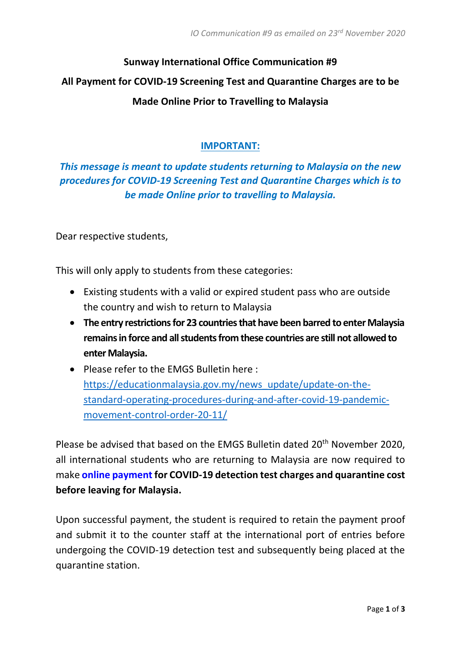# **Sunway International Office Communication #9 All Payment for COVID-19 Screening Test and Quarantine Charges are to be Made Online Prior to Travelling to Malaysia**

## **IMPORTANT:**

# *This message is meant to update students returning to Malaysia on the new procedures for COVID-19 Screening Test and Quarantine Charges which is to be made Online prior to travelling to Malaysia.*

Dear respective students,

This will only apply to students from these categories:

- Existing students with a valid or expired student pass who are outside the country and wish to return to Malaysia
- **The entry restrictions for 23 countries that have been barred to enter Malaysia remains in force and all students from these countries are still not allowed to enter Malaysia.**
- Please refer to the EMGS Bulletin here : [https://educationmalaysia.gov.my/news\\_update/update-on-the](https://educationmalaysia.gov.my/news_update/update-on-the-standard-operating-procedures-during-and-after-covid-19-pandemic-movement-control-order-20-11/)[standard-operating-procedures-during-and-after-covid-19-pandemic](https://educationmalaysia.gov.my/news_update/update-on-the-standard-operating-procedures-during-and-after-covid-19-pandemic-movement-control-order-20-11/)[movement-control-order-20-11/](https://educationmalaysia.gov.my/news_update/update-on-the-standard-operating-procedures-during-and-after-covid-19-pandemic-movement-control-order-20-11/)

Please be advised that based on the EMGS Bulletin dated 20<sup>th</sup> November 2020, all international students who are returning to Malaysia are now required to make **online payment for COVID-19 detection test charges and quarantine cost before leaving for Malaysia.** 

Upon successful payment, the student is required to retain the payment proof and submit it to the counter staff at the international port of entries before undergoing the COVID-19 detection test and subsequently being placed at the quarantine station.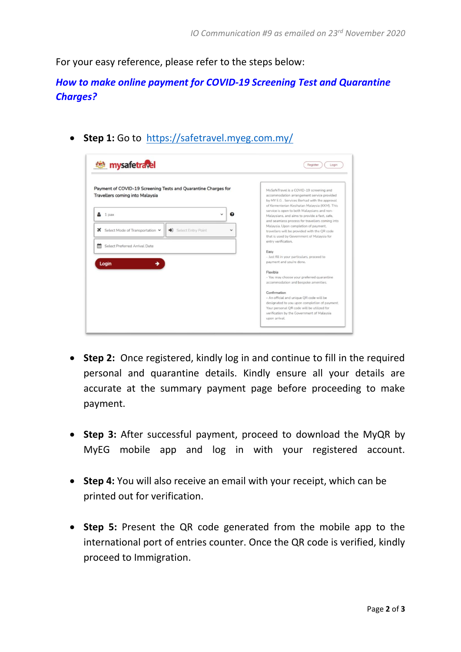For your easy reference, please refer to the steps below:

*How to make online payment for COVID-19 Screening Test and Quarantine Charges?*

• **Step 1:** Go to <https://safetravel.myeg.com.my/>

| <b>External mysafetravel</b>                                                                      | Register<br>Login                                                                                                                                                                       |
|---------------------------------------------------------------------------------------------------|-----------------------------------------------------------------------------------------------------------------------------------------------------------------------------------------|
| Payment of COVID-19 Screening Tests and Quarantine Charges for<br>Travellers coming into Malaysia | MySafeTravel is a COVID-19 screening and<br>accommodation arrangement service provided<br>by MY E.G. Services Berhad with the approval<br>of Kementerian Kesihatan Malaysia (KKM). This |
| ๋<br>1 pax                                                                                        | service is open to both Malaysians and non-<br>Malaysians, and aims to provide a fast, safe,                                                                                            |
| Select Mode of Transportation V<br>Select Entry Point<br>$\mathbf x$<br>∙<br>$\checkmark$         | and seamless process for travellers coming into<br>Malaysia. Upon completion of payment,                                                                                                |
|                                                                                                   | travellers will be provided with the QR code<br>that is used by Government of Malaysia for                                                                                              |
| m<br>Select Preferred Arrival Date                                                                | entry verification.                                                                                                                                                                     |
|                                                                                                   | Easy                                                                                                                                                                                    |
| Login                                                                                             | - Just fill in your particulars, proceed to<br>payment and you're done.                                                                                                                 |
|                                                                                                   | Flexible                                                                                                                                                                                |
|                                                                                                   | - You may choose your preferred quarantine                                                                                                                                              |
|                                                                                                   | accommodation and bespoke amenities.                                                                                                                                                    |
|                                                                                                   | Confirmation                                                                                                                                                                            |
|                                                                                                   | - An official and unique OR code will be                                                                                                                                                |
|                                                                                                   | designated to you upon completion of payment.                                                                                                                                           |
|                                                                                                   | Your personal QR code will be utilized for                                                                                                                                              |
|                                                                                                   | verification by the Government of Malaysia                                                                                                                                              |

- **Step 2:** Once registered, kindly log in and continue to fill in the required personal and quarantine details. Kindly ensure all your details are accurate at the summary payment page before proceeding to make payment.
- **Step 3:** After successful payment, proceed to download the MyQR by MyEG mobile app and log in with your registered account.
- **Step 4:** You will also receive an email with your receipt, which can be printed out for verification.
- **Step 5:** Present the QR code generated from the mobile app to the international port of entries counter. Once the QR code is verified, kindly proceed to Immigration.